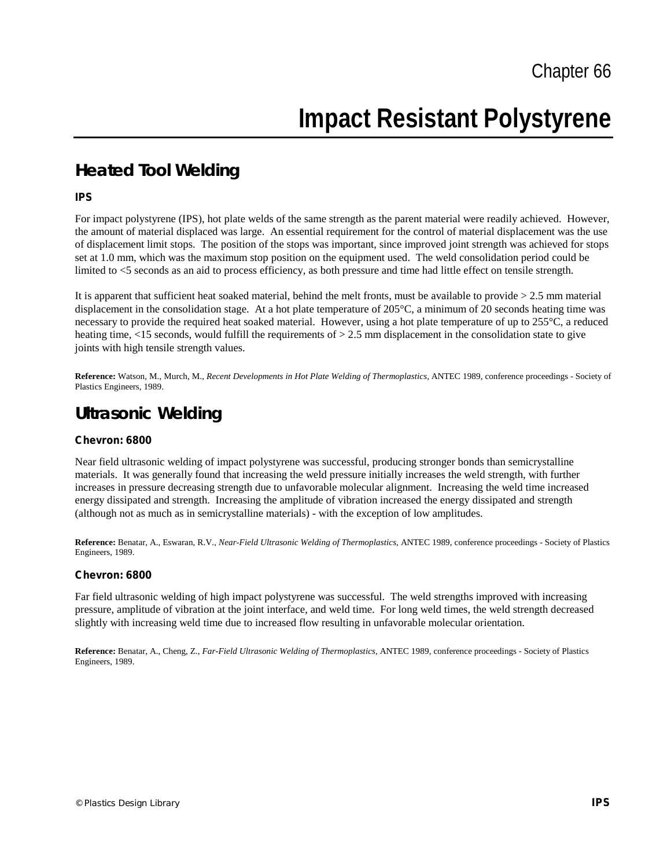# **Impact Resistant Polystyrene**

## **Heated Tool Welding**

#### **IPS**

For impact polystyrene (IPS), hot plate welds of the same strength as the parent material were readily achieved. However, the amount of material displaced was large. An essential requirement for the control of material displacement was the use of displacement limit stops. The position of the stops was important, since improved joint strength was achieved for stops set at 1.0 mm, which was the maximum stop position on the equipment used. The weld consolidation period could be limited to <5 seconds as an aid to process efficiency, as both pressure and time had little effect on tensile strength.

It is apparent that sufficient heat soaked material, behind the melt fronts, must be available to provide > 2.5 mm material displacement in the consolidation stage. At a hot plate temperature of 205°C, a minimum of 20 seconds heating time was necessary to provide the required heat soaked material. However, using a hot plate temperature of up to 255°C, a reduced heating time,  $\langle 15 \rangle$  seconds, would fulfill the requirements of  $> 2.5$  mm displacement in the consolidation state to give joints with high tensile strength values.

**Reference:** Watson, M., Murch, M., *Recent Developments in Hot Plate Welding of Thermoplastics,* ANTEC 1989, conference proceedings - Society of Plastics Engineers, 1989.

### **Ultrasonic Welding**

#### **Chevron: 6800**

Near field ultrasonic welding of impact polystyrene was successful, producing stronger bonds than semicrystalline materials. It was generally found that increasing the weld pressure initially increases the weld strength, with further increases in pressure decreasing strength due to unfavorable molecular alignment. Increasing the weld time increased energy dissipated and strength. Increasing the amplitude of vibration increased the energy dissipated and strength (although not as much as in semicrystalline materials) - with the exception of low amplitudes.

**Reference:** Benatar, A., Eswaran, R.V., *Near-Field Ultrasonic Welding of Thermoplastics,* ANTEC 1989, conference proceedings - Society of Plastics Engineers, 1989.

#### **Chevron: 6800**

Far field ultrasonic welding of high impact polystyrene was successful. The weld strengths improved with increasing pressure, amplitude of vibration at the joint interface, and weld time. For long weld times, the weld strength decreased slightly with increasing weld time due to increased flow resulting in unfavorable molecular orientation.

**Reference:** Benatar, A., Cheng, Z., *Far-Field Ultrasonic Welding of Thermoplastics,* ANTEC 1989, conference proceedings - Society of Plastics Engineers, 1989.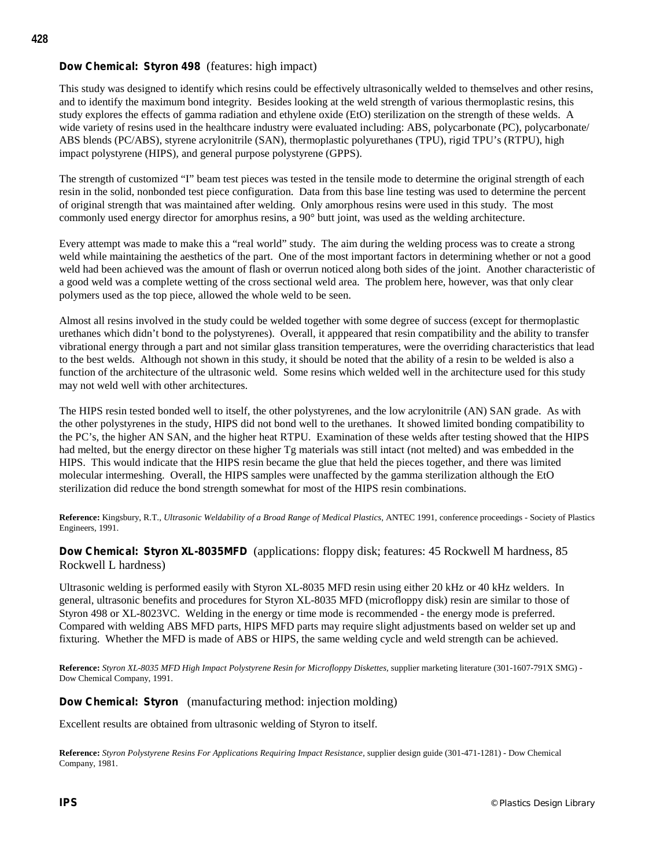#### **Dow Chemical: Styron 498** (features: high impact)

This study was designed to identify which resins could be effectively ultrasonically welded to themselves and other resins, and to identify the maximum bond integrity. Besides looking at the weld strength of various thermoplastic resins, this study explores the effects of gamma radiation and ethylene oxide (EtO) sterilization on the strength of these welds. A wide variety of resins used in the healthcare industry were evaluated including: ABS, polycarbonate (PC), polycarbonate/ ABS blends (PC/ABS), styrene acrylonitrile (SAN), thermoplastic polyurethanes (TPU), rigid TPU's (RTPU), high impact polystyrene (HIPS), and general purpose polystyrene (GPPS).

The strength of customized "I" beam test pieces was tested in the tensile mode to determine the original strength of each resin in the solid, nonbonded test piece configuration. Data from this base line testing was used to determine the percent of original strength that was maintained after welding. Only amorphous resins were used in this study. The most commonly used energy director for amorphus resins, a 90° butt joint, was used as the welding architecture.

Every attempt was made to make this a "real world" study. The aim during the welding process was to create a strong weld while maintaining the aesthetics of the part. One of the most important factors in determining whether or not a good weld had been achieved was the amount of flash or overrun noticed along both sides of the joint. Another characteristic of a good weld was a complete wetting of the cross sectional weld area. The problem here, however, was that only clear polymers used as the top piece, allowed the whole weld to be seen.

Almost all resins involved in the study could be welded together with some degree of success (except for thermoplastic urethanes which didn't bond to the polystyrenes). Overall, it apppeared that resin compatibility and the ability to transfer vibrational energy through a part and not similar glass transition temperatures, were the overriding characteristics that lead to the best welds. Although not shown in this study, it should be noted that the ability of a resin to be welded is also a function of the architecture of the ultrasonic weld. Some resins which welded well in the architecture used for this study may not weld well with other architectures.

The HIPS resin tested bonded well to itself, the other polystyrenes, and the low acrylonitrile (AN) SAN grade. As with the other polystyrenes in the study, HIPS did not bond well to the urethanes. It showed limited bonding compatibility to the PC's, the higher AN SAN, and the higher heat RTPU. Examination of these welds after testing showed that the HIPS had melted, but the energy director on these higher Tg materials was still intact (not melted) and was embedded in the HIPS. This would indicate that the HIPS resin became the glue that held the pieces together, and there was limited molecular intermeshing. Overall, the HIPS samples were unaffected by the gamma sterilization although the EtO sterilization did reduce the bond strength somewhat for most of the HIPS resin combinations.

**Reference:** Kingsbury, R.T., *Ultrasonic Weldability of a Broad Range of Medical Plastics,* ANTEC 1991, conference proceedings - Society of Plastics Engineers, 1991.

#### **Dow Chemical: Styron XL-8035MFD** (applications: floppy disk; features: 45 Rockwell M hardness, 85 Rockwell L hardness)

Ultrasonic welding is performed easily with Styron XL-8035 MFD resin using either 20 kHz or 40 kHz welders. In general, ultrasonic benefits and procedures for Styron XL-8035 MFD (microfloppy disk) resin are similar to those of Styron 498 or XL-8023VC. Welding in the energy or time mode is recommended - the energy mode is preferred. Compared with welding ABS MFD parts, HIPS MFD parts may require slight adjustments based on welder set up and fixturing. Whether the MFD is made of ABS or HIPS, the same welding cycle and weld strength can be achieved.

**Reference:** *Styron XL-8035 MFD High Impact Polystyrene Resin for Microfloppy Diskettes,* supplier marketing literature (301-1607-791X SMG) - Dow Chemical Company, 1991.

**Dow Chemical: Styron** (manufacturing method: injection molding)

Excellent results are obtained from ultrasonic welding of Styron to itself.

**Reference:** *Styron Polystyrene Resins For Applications Requiring Impact Resistance,* supplier design guide (301-471-1281) - Dow Chemical Company, 1981.